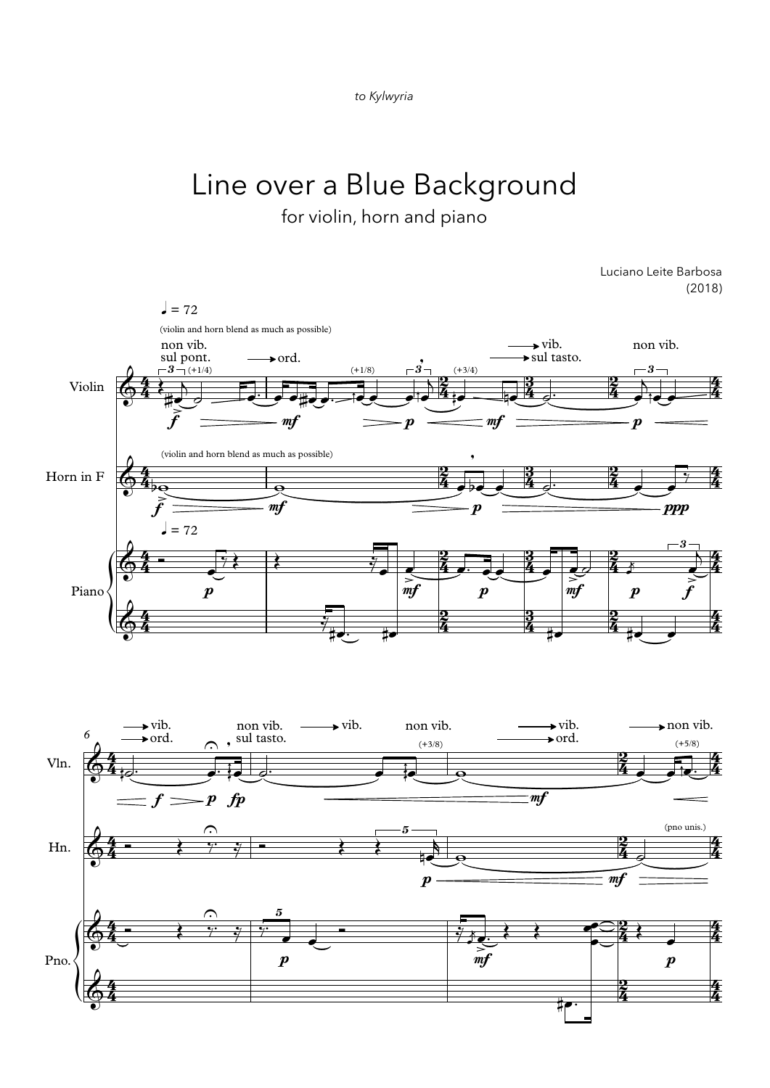

## Line over a Blue Background

for violin, horn and piano